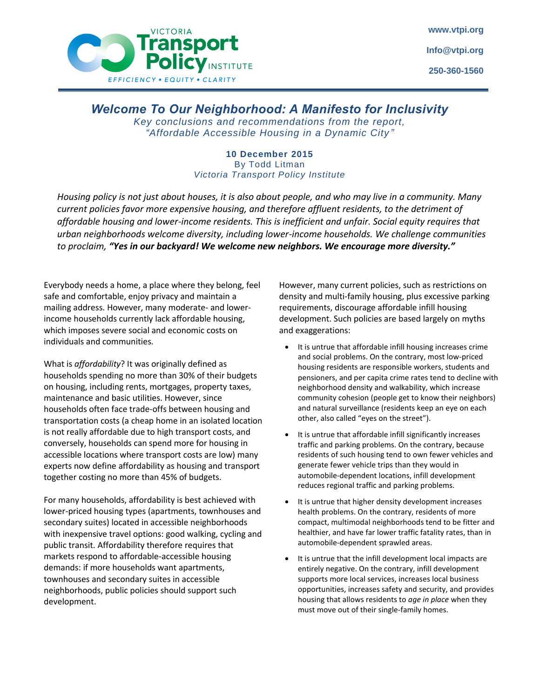

## *Welcome To Our Neighborhood: A Manifesto for Inclusivity*

*Key conclusions and recommendations from the report, "Affordable Accessible Housing in a Dynamic City "*

## **10 December 2015** By Todd Litman *Victoria Transport Policy Institute*

*Housing policy is not just about houses, it is also about people, and who may live in a community. Many current policies favor more expensive housing, and therefore affluent residents, to the detriment of affordable housing and lower-income residents. This is inefficient and unfair. Social equity requires that urban neighborhoods welcome diversity, including lower-income households. We challenge communities to proclaim, "Yes in our backyard! We welcome new neighbors. We encourage more diversity."*

Everybody needs a home, a place where they belong, feel safe and comfortable, enjoy privacy and maintain a mailing address. However, many moderate- and lowerincome households currently lack affordable housing, which imposes severe social and economic costs on individuals and communities.

What is *affordability*? It was originally defined as households spending no more than 30% of their budgets on housing, including rents, mortgages, property taxes, maintenance and basic utilities. However, since households often face trade-offs between housing and transportation costs (a cheap home in an isolated location is not really affordable due to high transport costs, and conversely, households can spend more for housing in accessible locations where transport costs are low) many experts now define affordability as housing and transport together costing no more than 45% of budgets.

For many households, affordability is best achieved with lower-priced housing types (apartments, townhouses and secondary suites) located in accessible neighborhoods with inexpensive travel options: good walking, cycling and public transit. Affordability therefore requires that markets respond to affordable-accessible housing demands: if more households want apartments, townhouses and secondary suites in accessible neighborhoods, public policies should support such development.

However, many current policies, such as restrictions on density and multi-family housing, plus excessive parking requirements, discourage affordable infill housing development. Such policies are based largely on myths and exaggerations:

- It is untrue that affordable infill housing increases crime and social problems. On the contrary, most low-priced housing residents are responsible workers, students and pensioners, and per capita crime rates tend to decline with neighborhood density and walkability, which increase community cohesion (people get to know their neighbors) and natural surveillance (residents keep an eye on each other, also called "eyes on the street").
- It is untrue that affordable infill significantly increases traffic and parking problems. On the contrary, because residents of such housing tend to own fewer vehicles and generate fewer vehicle trips than they would in automobile-dependent locations, infill development reduces regional traffic and parking problems.
- It is untrue that higher density development increases health problems. On the contrary, residents of more compact, multimodal neighborhoods tend to be fitter and healthier, and have far lower traffic fatality rates, than in automobile-dependent sprawled areas.
- It is untrue that the infill development local impacts are entirely negative. On the contrary, infill development supports more local services, increases local business opportunities, increases safety and security, and provides housing that allows residents to *age in place* when they must move out of their single-family homes.